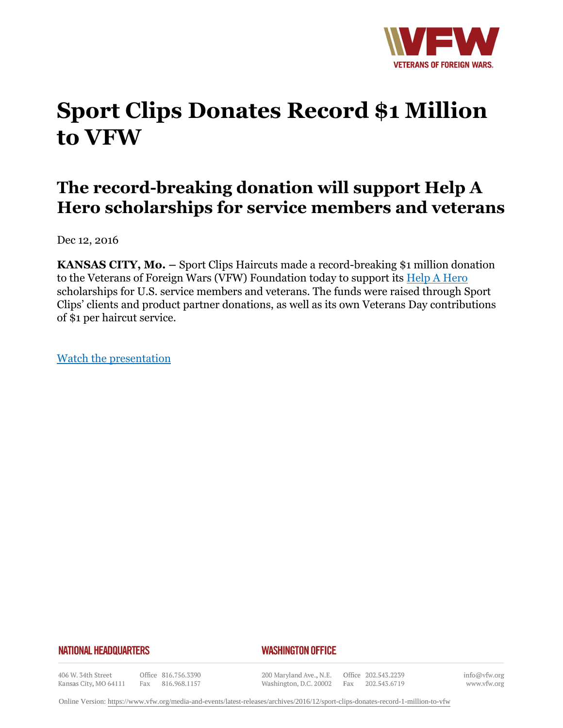

# **Sport Clips Donates Record \$1 Million to VFW**

## **The record-breaking donation will support Help A Hero scholarships for service members and veterans**

Dec 12, 2016

**KANSAS CITY, Mo. –** Sport Clips Haircuts made a record-breaking \$1 million donation to the Veterans of Foreign Wars (VFW) Foundation today to support its Help A Hero scholarships for U.S. service members and veterans. The funds were raised through Sport Clips' clients and product partner donations, as well as its own Veterans Day contributions of \$1 per haircut service.

Watch the presentation

#### **NATIONAL HEADQUARTERS**

#### *WASHINGTON OFFICE*

406 W. 34th Street Kansas City, MO 64111

Office 816.756.3390 Fax 816.968.1157

200 Maryland Ave., N.E. Washington, D.C. 20002

Office 202.543.2239 Fax 202.543.6719

info@vfw.org www.vfw.org

Online Version:<https://www.vfw.org/media-and-events/latest-releases/archives/2016/12/sport-clips-donates-record-1-million-to-vfw>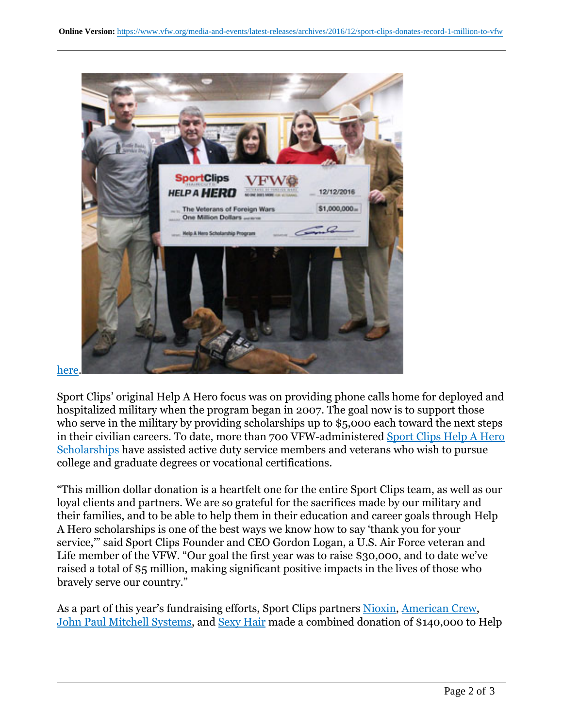

#### here.

Sport Clips' original Help A Hero focus was on providing phone calls home for deployed and hospitalized military when the program began in 2007. The goal now is to support those who serve in the military by providing scholarships up to \$5,000 each toward the next steps in their civilian careers. To date, more than 700 VFW-administered Sport Clips Help A Hero Scholarships have assisted active duty service members and veterans who wish to pursue college and graduate degrees or vocational certifications.

"This million dollar donation is a heartfelt one for the entire Sport Clips team, as well as our loyal clients and partners. We are so grateful for the sacrifices made by our military and their families, and to be able to help them in their education and career goals through Help A Hero scholarships is one of the best ways we know how to say 'thank you for your service,'" said Sport Clips Founder and CEO Gordon Logan, a U.S. Air Force veteran and Life member of the VFW. "Our goal the first year was to raise \$30,000, and to date we've raised a total of \$5 million, making significant positive impacts in the lives of those who bravely serve our country."

As a part of this year's fundraising efforts, Sport Clips partners Nioxin, American Crew, John Paul Mitchell Systems, and Sexy Hair made a combined donation of \$140,000 to Help